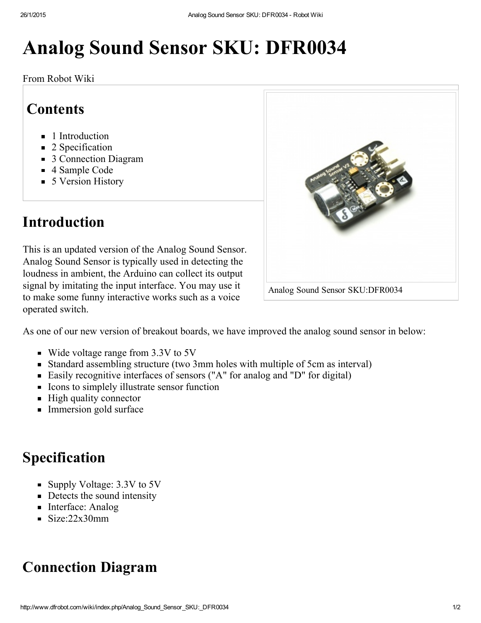# Analog Sound Sensor SKU: DFR0034

From Robot Wiki

#### **Contents**

- **1** [Introduction](#page-0-2)
- 2 [Specification](#page-0-0)
- 3 [Connection](#page-0-1) Diagram
- 4 [Sample](#page-1-0) Code
- 5 Version History

### <span id="page-0-2"></span>Introduction

This is an updated version of the Analog Sound Sensor. Analog Sound Sensor is typically used in detecting the loudness in ambient, the Arduino can collect its output signal by imitating the input interface. You may use it to make some funny interactive works such as a voice operated switch.



- Wide voltage range from 3.3V to 5V
- Standard assembling structure (two 3mm holes with multiple of 5cm as interval)
- Easily recognitive interfaces of sensors ("A" for analog and "D" for digital)
- Icons to simplely illustrate sensor function
- $\blacksquare$  High quality connector
- Immersion gold surface

#### <span id="page-0-0"></span>Specification

- Supply Voltage: 3.3V to 5V
- Detects the sound intensity
- Interface: Analog
- $\blacksquare$  Size:22x30mm

## <span id="page-0-1"></span>Connection Diagram